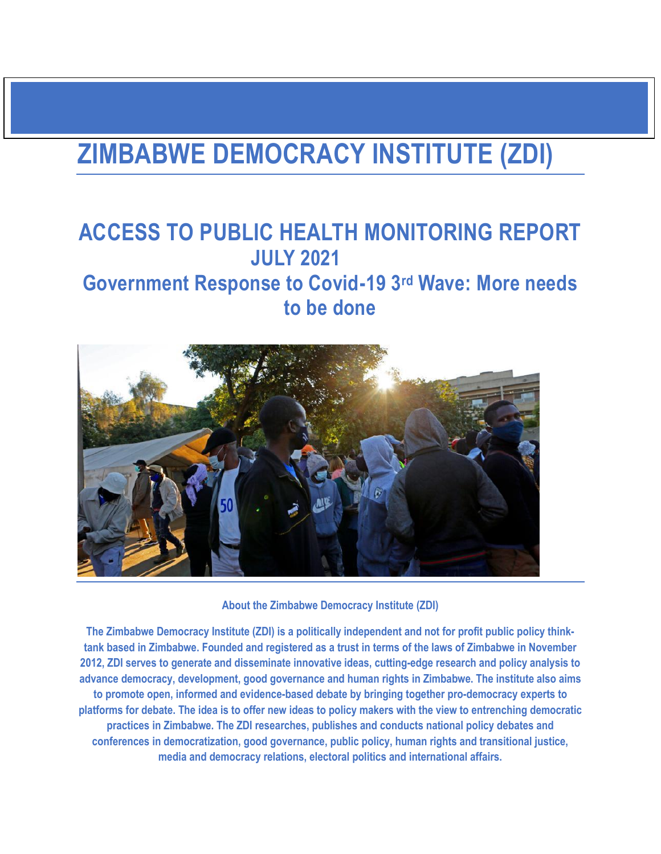# **ZIMBABWE DEMOCRACY INSTITUTE (ZDI)**

# **ACCESS TO PUBLIC HEALTH MONITORING REPORT JULY 2021 Government Response to Covid-19 3rd Wave: More needs to be done**



**About the Zimbabwe Democracy Institute (ZDI)**

**The Zimbabwe Democracy Institute (ZDI) is a politically independent and not for profit public policy thinktank based in Zimbabwe. Founded and registered as a trust in terms of the laws of Zimbabwe in November 2012, ZDI serves to generate and disseminate innovative ideas, cutting-edge research and policy analysis to advance democracy, development, good governance and human rights in Zimbabwe. The institute also aims to promote open, informed and evidence-based debate by bringing together pro-democracy experts to platforms for debate. The idea is to offer new ideas to policy makers with the view to entrenching democratic practices in Zimbabwe. The ZDI researches, publishes and conducts national policy debates and conferences in democratization, good governance, public policy, human rights and transitional justice, media and democracy relations, electoral politics and international affairs.**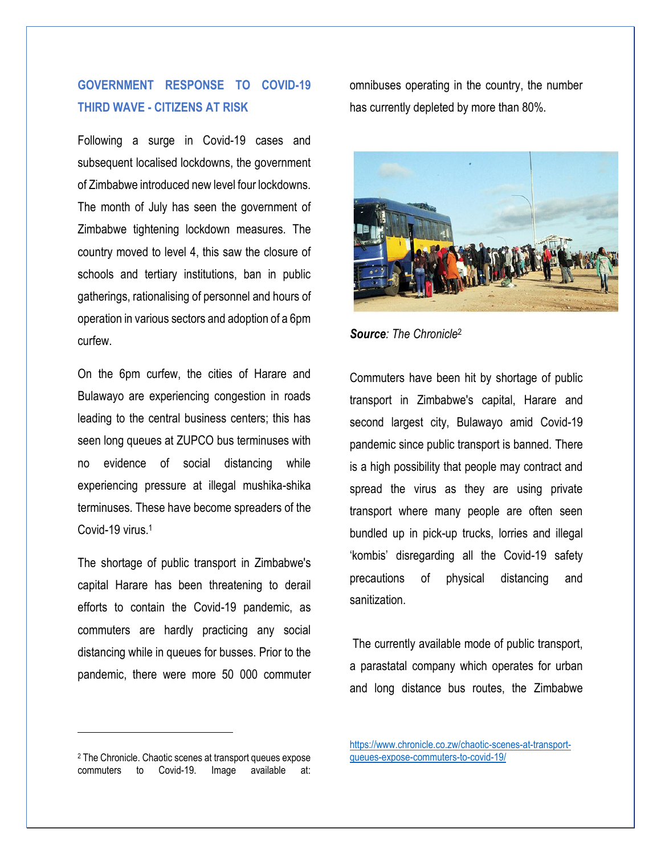## **GOVERNMENT RESPONSE TO COVID-19 THIRD WAVE - CITIZENS AT RISK**

Following a surge in Covid-19 cases and subsequent localised lockdowns, the government of Zimbabwe introduced new level four lockdowns. The month of July has seen the government of Zimbabwe tightening lockdown measures. The country moved to level 4, this saw the closure of schools and tertiary institutions, ban in public gatherings, rationalising of personnel and hours of operation in various sectors and adoption of a 6pm curfew.

On the 6pm curfew, the cities of Harare and Bulawayo are experiencing congestion in roads leading to the central business centers; this has seen long queues at ZUPCO bus terminuses with no evidence of social distancing while experiencing pressure at illegal mushika-shika terminuses. These have become spreaders of the Covid-19 virus. 1

The shortage of public transport in Zimbabwe's capital Harare has been threatening to derail efforts to contain the Covid-19 pandemic, as commuters are hardly practicing any social distancing while in queues for busses. Prior to the pandemic, there were more 50 000 commuter

omnibuses operating in the country, the number has currently depleted by more than 80%.



*Source: The Chronicle*<sup>2</sup>

Commuters have been hit by shortage of public transport in Zimbabwe's capital, Harare and second largest city, Bulawayo amid Covid-19 pandemic since public transport is banned. There is a high possibility that people may contract and spread the virus as they are using private transport where many people are often seen bundled up in pick-up trucks, lorries and illegal 'kombis' disregarding all the Covid-19 safety precautions of physical distancing and sanitization.

The currently available mode of public transport, a parastatal company which operates for urban and long distance bus routes, the Zimbabwe

 $\overline{\phantom{a}}$ 

<sup>2</sup> The Chronicle. Chaotic scenes at transport queues expose commuters to Covid-19. Image available at:

[https://www.chronicle.co.zw/chaotic-scenes-at-transport](https://www.chronicle.co.zw/chaotic-scenes-at-transport-queues-expose-commuters-to-covid-19/)[queues-expose-commuters-to-covid-19/](https://www.chronicle.co.zw/chaotic-scenes-at-transport-queues-expose-commuters-to-covid-19/)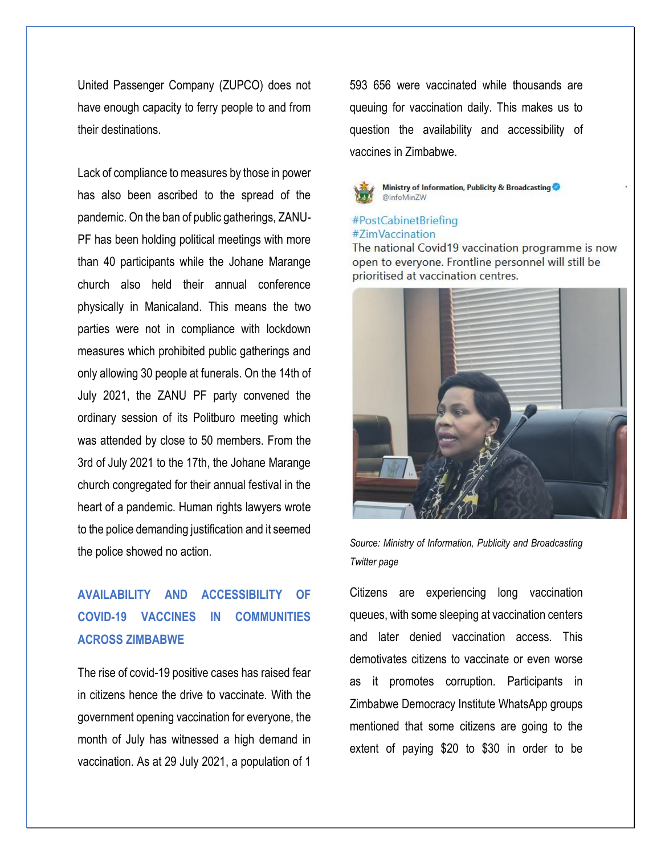United Passenger Company (ZUPCO) does not have enough capacity to ferry people to and from their destinations.

Lack of compliance to measures by those in power has also been ascribed to the spread of the pandemic. On the ban of public gatherings, ZANU-PF has been holding political meetings with more than 40 participants while the Johane Marange church also held their annual conference physically in Manicaland. This means the two parties were not in compliance with lockdown measures which prohibited public gatherings and only allowing 30 people at funerals. On the 14th of July 2021, the ZANU PF party convened the ordinary session of its Politburo meeting which was attended by close to 50 members. From the 3rd of July 2021 to the 17th, the Johane Marange church congregated for their annual festival in the heart of a pandemic. Human rights lawyers wrote to the police demanding justification and it seemed the police showed no action.

# **AVAILABILITY AND ACCESSIBILITY OF COVID-19 VACCINES IN COMMUNITIES ACROSS ZIMBABWE**

The rise of covid-19 positive cases has raised fear in citizens hence the drive to vaccinate. With the government opening vaccination for everyone, the month of July has witnessed a high demand in vaccination. As at 29 July 2021, a population of 1

593 656 were vaccinated while thousands are queuing for vaccination daily. This makes us to question the availability and accessibility of vaccines in Zimbabwe.



## #PostCabinetBriefing #ZimVaccination

The national Covid19 vaccination programme is now open to everyone. Frontline personnel will still be prioritised at vaccination centres.



*Source: Ministry of Information, Publicity and Broadcasting Twitter page*

Citizens are experiencing long vaccination queues, with some sleeping at vaccination centers and later denied vaccination access. This demotivates citizens to vaccinate or even worse as it promotes corruption. Participants in Zimbabwe Democracy Institute WhatsApp groups mentioned that some citizens are going to the extent of paying \$20 to \$30 in order to be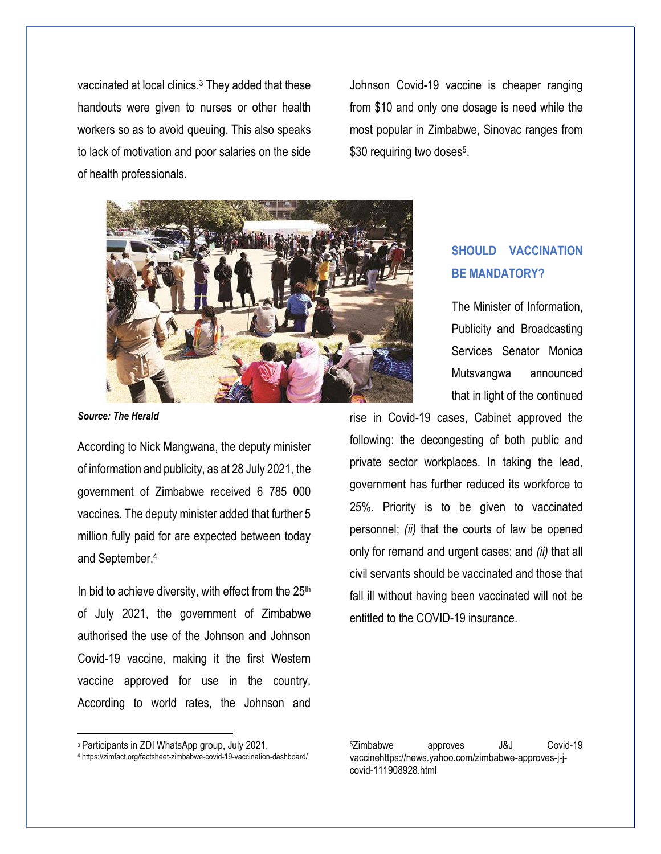vaccinated at local clinics.<sup>3</sup> They added that these handouts were given to nurses or other health workers so as to avoid queuing. This also speaks to lack of motivation and poor salaries on the side of health professionals.

Johnson Covid-19 vaccine is cheaper ranging from \$10 and only one dosage is need while the most popular in Zimbabwe, Sinovac ranges from \$30 requiring two doses<sup>5</sup>.



*Source: The Herald*

According to Nick Mangwana, the deputy minister of information and publicity, as at 28 July 2021, the government of Zimbabwe received 6 785 000 vaccines. The deputy minister added that further 5 million fully paid for are expected between today and September.<sup>4</sup>

In bid to achieve diversity, with effect from the  $25<sup>th</sup>$ of July 2021, the government of Zimbabwe authorised the use of the Johnson and Johnson Covid-19 vaccine, making it the first Western vaccine approved for use in the country. According to world rates, the Johnson and

## **SHOULD VACCINATION BE MANDATORY?**

The Minister of Information, Publicity and Broadcasting Services Senator Monica Mutsvangwa announced that in light of the continued

rise in Covid-19 cases, Cabinet approved the following: the decongesting of both public and private sector workplaces. In taking the lead, government has further reduced its workforce to 25%. Priority is to be given to vaccinated personnel; *(ii)* that the courts of law be opened only for remand and urgent cases; and *(ii)* that all civil servants should be vaccinated and those that fall ill without having been vaccinated will not be entitled to the COVID-19 insurance.

 $\overline{\phantom{a}}$ 

<sup>3</sup> Participants in ZDI WhatsApp group, July 2021.

<sup>4</sup> https://zimfact.org/factsheet-zimbabwe-covid-19-vaccination-dashboard/

<sup>5</sup>Zimbabwe approves J&J Covid-19 vaccinehttps://news.yahoo.com/zimbabwe-approves-j-jcovid-111908928.html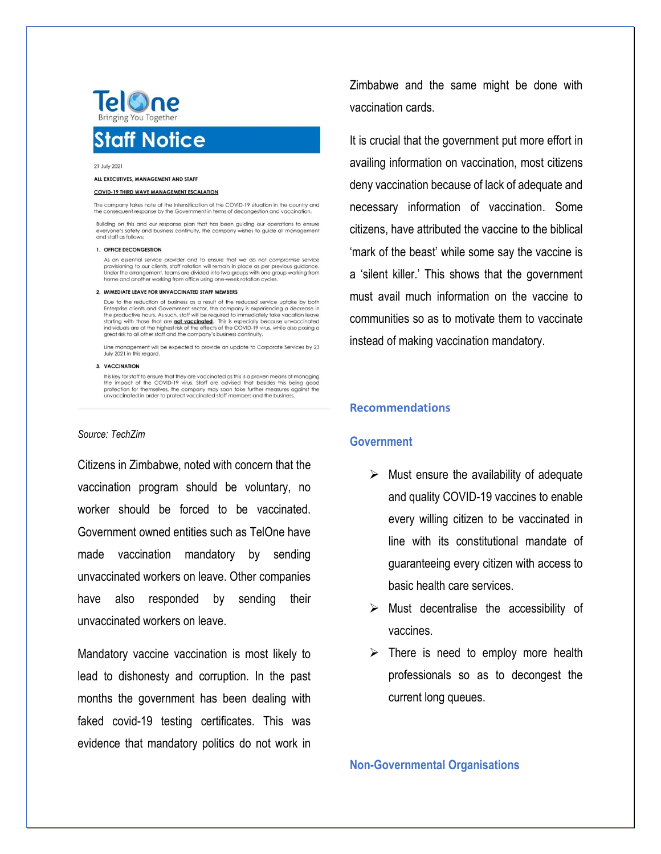

#### 21 July 2021

#### ALL EXECUTIVES, MANAGEMENT AND STAFF

#### **COVID-19 THIRD WAVE MANAGEMENT ESCALATION**

The company takes note of the intensification of the COVID-19 situation in the country and the consequent response by the Government in terms of decongestion and vaccination

Building on this and our response plan that has been guiding our operations to ensure everyone's safety and business continuity, the company wishes to guide all management and staff as follows;

#### 1. OFFICE DECONGESTION

As an essential service provider and to ensure that we do not compromise service For all assemblance and the provisioning to our clients, staff rotation will remain in place as per previous guidance.<br>Under the arrangement, teams are divided into two groups with one group working from<br>home and another w

#### 2. IMMEDIATE LEAVE FOR UNVACCINATED STAFF MEMBERS

Due to the reduction of business as a result of the reduced service uptake by both Enterprise clients and Government sector, the company is experiencing a decrease in the productive hours. As such, staff will be required to immediately take vacation leave<br>the productive hours. As such, staff will be required to immediately take vacation leave<br>starting with those that are **not vaccinated** great risk to all other staff and the company's business continuity.

Line management will be expected to provide an update to Corporate Services by 23<br>July 2021 in this regard.

#### 3. VACCINATION

It is key for staff to ensure that they are vaccinated as this is a proven means of managing the impact of the COVID-19 virus. Staff are advised that besides this being good protection for themselves, the company may soon take further measures against the unvaccinated in order to protect vaccinated staff members and the business.

### *Source: TechZim*

Citizens in Zimbabwe, noted with concern that the vaccination program should be voluntary, no worker should be forced to be vaccinated. Government owned entities such as TelOne have made vaccination mandatory by sending unvaccinated workers on leave. Other companies have also responded by sending their unvaccinated workers on leave.

Mandatory vaccine vaccination is most likely to lead to dishonesty and corruption. In the past months the government has been dealing with faked covid-19 testing certificates. This was evidence that mandatory politics do not work in

Zimbabwe and the same might be done with vaccination cards.

It is crucial that the government put more effort in availing information on vaccination, most citizens deny vaccination because of lack of adequate and necessary information of vaccination. Some citizens, have attributed the vaccine to the biblical 'mark of the beast' while some say the vaccine is a 'silent killer.' This shows that the government must avail much information on the vaccine to communities so as to motivate them to vaccinate instead of making vaccination mandatory.

### **Recommendations**

## **Government**

- $\triangleright$  Must ensure the availability of adequate and quality COVID-19 vaccines to enable every willing citizen to be vaccinated in line with its constitutional mandate of guaranteeing every citizen with access to basic health care services.
- $\triangleright$  Must decentralise the accessibility of vaccines.
- $\triangleright$  There is need to employ more health professionals so as to decongest the current long queues.

**Non-Governmental Organisations**